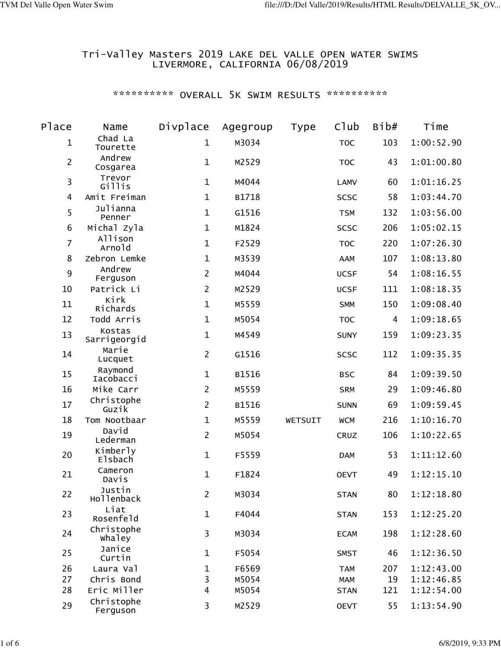## Tri-Valley Masters 2019 LAKE DEL VALLE OPEN WATER SWIMS LIVERMORE, CALIFORNIA 06/08/2019

## \*\*\*\*\*\*\*\*\*\*\* OVERALL 5K SWIM RESULTS \*\*\*\*\*\*\*\*\*\*\*

| Place            | Name                       | Divplace       | Agegroup | Type    | Club        | Bib# | Time       |
|------------------|----------------------------|----------------|----------|---------|-------------|------|------------|
| 1                | Chad La<br>Tourette        | $\mathbf{1}$   | M3034    |         | <b>TOC</b>  | 103  | 1:00:52.90 |
| $\overline{2}$   | Andrew<br>Cosgarea         | $\mathbf{1}$   | M2529    |         | <b>TOC</b>  | 43   | 1:01:00.80 |
| 3                | Trevor<br>Gillis           | $\mathbf{1}$   | M4044    |         | LAMV        | 60   | 1:01:16.25 |
| 4                | Amit Freiman               | $\mathbf{1}$   | B1718    |         | <b>SCSC</b> | 58   | 1:03:44.70 |
| 5                | Julianna<br>Penner         | $\mathbf{1}$   | G1516    |         | <b>TSM</b>  | 132  | 1:03:56.00 |
| 6                | Michal Zyla                | $\mathbf{1}$   | M1824    |         | <b>SCSC</b> | 206  | 1:05:02.15 |
| $\overline{7}$   | Allison<br>Arnold          | $\mathbf{1}$   | F2529    |         | <b>TOC</b>  | 220  | 1:07:26.30 |
| 8                | Zebron Lemke               | $\mathbf{1}$   | M3539    |         | AAM         | 107  | 1:08:13.80 |
| $\boldsymbol{9}$ | Andrew<br>Ferguson         | $\overline{2}$ | M4044    |         | <b>UCSF</b> | 54   | 1:08:16.55 |
| 10               | Patrick Li                 | $\overline{2}$ | M2529    |         | <b>UCSF</b> | 111  | 1:08:18.35 |
| 11               | Kirk<br>Richards           | $\mathbf{1}$   | M5559    |         | <b>SMM</b>  | 150  | 1:09:08.40 |
| 12               | Todd Arris                 | $\mathbf{1}$   | M5054    |         | <b>TOC</b>  | 4    | 1:09:18.65 |
| 13               | Kostas<br>Sarrigeorgid     | $\mathbf{1}$   | M4549    |         | <b>SUNY</b> | 159  | 1:09:23.35 |
| 14               | Marie<br>Lucquet           | $\overline{2}$ | G1516    |         | <b>SCSC</b> | 112  | 1:09:35.35 |
| 15               | Raymond<br>Iacobacci       | $\mathbf{1}$   | B1516    |         | <b>BSC</b>  | 84   | 1:09:39.50 |
| 16               | Mike Carr                  | $\overline{2}$ | M5559    |         | <b>SRM</b>  | 29   | 1:09:46.80 |
| 17               | Christophe<br>Guzik        | $\overline{2}$ | B1516    |         | <b>SUNN</b> | 69   | 1:09:59.45 |
| 18               | Tom Nootbaar               | $\mathbf{1}$   | M5559    | WETSUIT | <b>WCM</b>  | 216  | 1:10:16.70 |
| 19               | David<br>Lederman          | $\overline{2}$ | M5054    |         | CRUZ        | 106  | 1:10:22.65 |
| 20               | Kimberly<br><b>Elsbach</b> | $\mathbf{1}$   | F5559    |         | <b>DAM</b>  | 53   | 1:11:12.60 |
| 21               | Cameron<br>Davis           | $\mathbf{1}$   | F1824    |         | <b>OEVT</b> | 49   | 1:12:15.10 |
| 22               | Justin<br>Hollenback       | $\overline{2}$ | M3034    |         | <b>STAN</b> | 80   | 1:12:18.80 |
| 23               | Liat<br>Rosenfeld          | $\mathbf{1}$   | F4044    |         | <b>STAN</b> | 153  | 1:12:25.20 |
| 24               | Christophe<br>whaley       | 3              | M3034    |         | <b>ECAM</b> | 198  | 1:12:28.60 |
| 25               | Janice<br>Curtin           | $\mathbf{1}$   | F5054    |         | <b>SMST</b> | 46   | 1:12:36.50 |
| 26               | Laura Val                  | $\mathbf 1$    | F6569    |         | <b>TAM</b>  | 207  | 1:12:43.00 |
| 27               | Chris Bond                 | 3              | M5054    |         | <b>MAM</b>  | 19   | 1:12:46.85 |
| 28               | Eric Miller                | $\overline{4}$ | M5054    |         | <b>STAN</b> | 121  | 1:12:54.00 |
| 29               | Christophe<br>Ferguson     | 3              | M2529    |         | <b>OEVT</b> | 55   | 1:13:54.90 |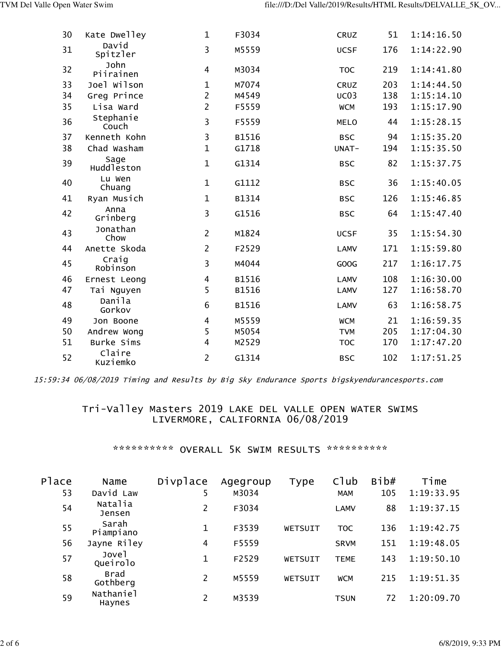| 30 | Kate Dwelley       | $\mathbf 1$    | F3034 | CRUZ        | 51  | 1:14:16.50 |
|----|--------------------|----------------|-------|-------------|-----|------------|
| 31 | David<br>Spitzler  | 3              | M5559 | <b>UCSF</b> | 176 | 1:14:22.90 |
| 32 | John<br>Piirainen  | 4              | M3034 | <b>TOC</b>  | 219 | 1:14:41.80 |
| 33 | Joel Wilson        | $\mathbf{1}$   | M7074 | CRUZ        | 203 | 1:14:44.50 |
| 34 | Greg Prince        | $\overline{2}$ | M4549 | UCO3        | 138 | 1:15:14.10 |
| 35 | Lisa Ward          | $\overline{2}$ | F5559 | <b>WCM</b>  | 193 | 1:15:17.90 |
| 36 | Stephanie<br>Couch | 3              | F5559 | <b>MELO</b> | 44  | 1:15:28.15 |
| 37 | Kenneth Kohn       | 3              | B1516 | <b>BSC</b>  | 94  | 1:15:35.20 |
| 38 | Chad Washam        | $\mathbf{1}$   | G1718 | UNAT-       | 194 | 1:15:35.50 |
| 39 | Sage<br>Huddleston | $\mathbf{1}$   | G1314 | <b>BSC</b>  | 82  | 1:15:37.75 |
| 40 | Lu Wen<br>Chuang   | $\mathbf{1}$   | G1112 | <b>BSC</b>  | 36  | 1:15:40.05 |
| 41 | Ryan Musich        | $\mathbf 1$    | B1314 | <b>BSC</b>  | 126 | 1:15:46.85 |
| 42 | Anna<br>Grinberg   | 3              | G1516 | <b>BSC</b>  | 64  | 1:15:47.40 |
| 43 | Jonathan<br>Chow   | $\overline{2}$ | M1824 | <b>UCSF</b> | 35  | 1:15:54.30 |
| 44 | Anette Skoda       | $\overline{2}$ | F2529 | <b>LAMV</b> | 171 | 1:15:59.80 |
| 45 | Craig<br>Robinson  | 3              | M4044 | GOOG        | 217 | 1:16:17.75 |
| 46 | Ernest Leong       | 4              | B1516 | <b>LAMV</b> | 108 | 1:16:30.00 |
| 47 | Tai Nguyen         | 5              | B1516 | <b>LAMV</b> | 127 | 1:16:58.70 |
| 48 | Danila<br>Gorkov   | 6              | B1516 | <b>LAMV</b> | 63  | 1:16:58.75 |
| 49 | Jon Boone          | 4              | M5559 | <b>WCM</b>  | 21  | 1:16:59.35 |
| 50 | Andrew Wong        | 5              | M5054 | <b>TVM</b>  | 205 | 1:17:04.30 |
| 51 | Burke Sims         | $\overline{4}$ | M2529 | <b>TOC</b>  | 170 | 1:17:47.20 |
| 52 | Claire<br>Kuziemko | $\overline{2}$ | G1314 | <b>BSC</b>  | 102 | 1:17:51.25 |

15:59:34 06/08/2019 Timing and Results by Big Sky Endurance Sports bigskyendurancesports.com

## Tri-Valley Masters 2019 LAKE DEL VALLE OPEN WATER SWIMS LIVERMORE, CALIFORNIA 06/08/2019

\*\*\*\*\*\*\*\*\*\*\* OVERALL 5K SWIM RESULTS \*\*\*\*\*\*\*\*\*\*\*

| Place | Name                | Divplace | Agegroup | Type    | C1ub        | Bib# | Time       |
|-------|---------------------|----------|----------|---------|-------------|------|------------|
| 53    | David Law           | 5        | M3034    |         | <b>MAM</b>  | 105  | 1:19:33.95 |
| 54    | Natalia<br>Jensen   |          | F3034    |         | <b>LAMV</b> | 88   | 1:19:37.15 |
| 55    | Sarah<br>Piampiano  | 1        | F3539    | WETSUIT | <b>TOC</b>  | 136  | 1:19:42.75 |
| 56    | Jayne Riley         | 4        | F5559    |         | <b>SRVM</b> | 151  | 1:19:48.05 |
| 57    | Jovel<br>Queirolo   | 1        | F2529    | WETSUIT | <b>TEME</b> | 143  | 1:19:50.10 |
| 58    | Brad<br>Gothberg    | 2        | M5559    | WETSUIT | <b>WCM</b>  | 215  | 1:19:51.35 |
| 59    | Nathaniel<br>Haynes |          | M3539    |         | <b>TSUN</b> | 72   | 1:20:09.70 |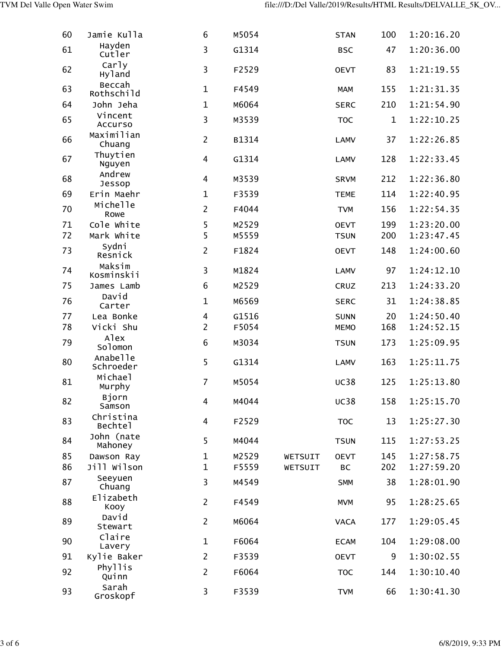| 60 | Jamie Kulla           | 6              | M5054 |         | <b>STAN</b> | 100         | 1:20:16.20 |
|----|-----------------------|----------------|-------|---------|-------------|-------------|------------|
| 61 | Hayden<br>Cutler      | 3              | G1314 |         | <b>BSC</b>  | 47          | 1:20:36.00 |
| 62 | Carly<br>Hyland       | 3              | F2529 |         | <b>OEVT</b> | 83          | 1:21:19.55 |
| 63 | Beccah<br>Rothschild  | $\mathbf{1}$   | F4549 |         | <b>MAM</b>  | 155         | 1:21:31.35 |
| 64 | John Jeha             | $\mathbf{1}$   | M6064 |         | <b>SERC</b> | 210         | 1:21:54.90 |
| 65 | Vincent<br>Accurso    | 3              | M3539 |         | <b>TOC</b>  | $\mathbf 1$ | 1:22:10.25 |
| 66 | Maximilian<br>Chuang  | $\overline{2}$ | B1314 |         | <b>LAMV</b> | 37          | 1:22:26.85 |
| 67 | Thuytien<br>Nguyen    | 4              | G1314 |         | <b>LAMV</b> | 128         | 1:22:33.45 |
| 68 | Andrew<br>Jessop      | 4              | M3539 |         | <b>SRVM</b> | 212         | 1:22:36.80 |
| 69 | Erin Maehr            | $\mathbf{1}$   | F3539 |         | <b>TEME</b> | 114         | 1:22:40.95 |
| 70 | Michelle<br>Rowe      | $\overline{2}$ | F4044 |         | <b>TVM</b>  | 156         | 1:22:54.35 |
| 71 | Cole White            | 5              | M2529 |         | <b>OEVT</b> | 199         | 1:23:20.00 |
| 72 | Mark White            | 5              | M5559 |         | <b>TSUN</b> | 200         | 1:23:47.45 |
| 73 | Sydni<br>Resnick      | $\overline{2}$ | F1824 |         | <b>OEVT</b> | 148         | 1:24:00.60 |
| 74 | Maksim<br>Kosminskii  | 3              | M1824 |         | <b>LAMV</b> | 97          | 1:24:12.10 |
| 75 | James Lamb            | 6              | M2529 |         | CRUZ        | 213         | 1:24:33.20 |
| 76 | David<br>Carter       | $\mathbf 1$    | M6569 |         | <b>SERC</b> | 31          | 1:24:38.85 |
| 77 | Lea Bonke             | 4              | G1516 |         | <b>SUNN</b> | 20          | 1:24:50.40 |
| 78 | Vicki Shu             | $\overline{2}$ | F5054 |         | <b>MEMO</b> | 168         | 1:24:52.15 |
| 79 | Alex<br>Solomon       | 6              | M3034 |         | <b>TSUN</b> | 173         | 1:25:09.95 |
| 80 | Anabelle<br>Schroeder | 5              | G1314 |         | <b>LAMV</b> | 163         | 1:25:11.75 |
| 81 | Michael<br>Murphy     | $\overline{7}$ | M5054 |         | <b>UC38</b> | 125         | 1:25:13.80 |
| 82 | Bjorn<br>Samson       | 4              | M4044 |         | <b>UC38</b> | 158         | 1:25:15.70 |
| 83 | Christina<br>Bechtel  | 4              | F2529 |         | <b>TOC</b>  | 13          | 1:25:27.30 |
| 84 | John (nate<br>Mahoney | 5              | M4044 |         | <b>TSUN</b> | 115         | 1:27:53.25 |
| 85 | Dawson Ray            | $\mathbf 1$    | M2529 | WETSUIT | <b>OEVT</b> | 145         | 1:27:58.75 |
| 86 | Jill Wilson           | $\mathbf{1}$   | F5559 | WETSUIT | <b>BC</b>   | 202         | 1:27:59.20 |
| 87 | Seeyuen<br>Chuang     | 3              | M4549 |         | <b>SMM</b>  | 38          | 1:28:01.90 |
| 88 | Elizabeth<br>Kooy     | $\overline{2}$ | F4549 |         | <b>MVM</b>  | 95          | 1:28:25.65 |
| 89 | David<br>Stewart      | $\overline{2}$ | M6064 |         | <b>VACA</b> | 177         | 1:29:05.45 |
| 90 | Claire<br>Lavery      | $\mathbf{1}$   | F6064 |         | <b>ECAM</b> | 104         | 1:29:08.00 |
| 91 | Kylie Baker           | $\overline{2}$ | F3539 |         | <b>OEVT</b> | 9           | 1:30:02.55 |
| 92 | Phyllis<br>Quinn      | $\overline{2}$ | F6064 |         | <b>TOC</b>  | 144         | 1:30:10.40 |
| 93 | Sarah<br>Groskopf     | 3              | F3539 |         | <b>TVM</b>  | 66          | 1:30:41.30 |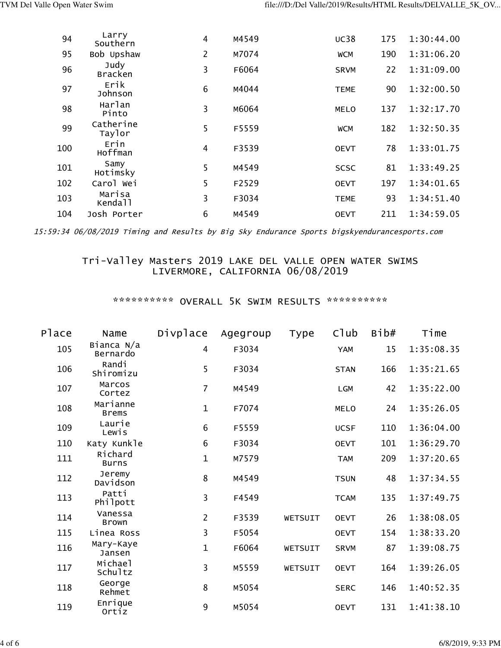| 94  | Larry<br>Southern             | 4 | M4549 | <b>UC38</b> | 175 | 1:30:44.00 |
|-----|-------------------------------|---|-------|-------------|-----|------------|
| 95  | Bob Upshaw                    | 2 | M7074 | <b>WCM</b>  | 190 | 1:31:06.20 |
| 96  | Judy<br><b>Bracken</b>        | 3 | F6064 | <b>SRVM</b> | 22  | 1:31:09.00 |
| 97  | Erik<br>Johnson               | 6 | M4044 | <b>TEME</b> | 90  | 1:32:00.50 |
| 98  | Harlan<br>Pinto               | 3 | M6064 | <b>MELO</b> | 137 | 1:32:17.70 |
| 99  | Catherine<br>Taylor           | 5 | F5559 | <b>WCM</b>  | 182 | 1:32:50.35 |
| 100 | Erin<br>Hoffman               | 4 | F3539 | <b>OEVT</b> | 78  | 1:33:01.75 |
| 101 | Samy<br>Hotimsky              | 5 | M4549 | <b>SCSC</b> | 81  | 1:33:49.25 |
| 102 | Carol Wei                     | 5 | F2529 | <b>OEVT</b> | 197 | 1:34:01.65 |
| 103 | Marisa<br>Kenda <sub>11</sub> | 3 | F3034 | <b>TEME</b> | 93  | 1:34:51.40 |
| 104 | Josh Porter                   | 6 | M4549 | <b>OEVT</b> | 211 | 1:34:59.05 |

15:59:34 06/08/2019 Timing and Results by Big Sky Endurance Sports bigskyendurancesports.com

## Tri-Valley Masters 2019 LAKE DEL VALLE OPEN WATER SWIMS LIVERMORE, CALIFORNIA 06/08/2019

\*\*\*\*\*\*\*\*\*\*\* OVERALL 5K SWIM RESULTS \*\*\*\*\*\*\*\*\*\*\*

| Place | Name                     | Divplace       | Agegroup | <b>Type</b> | C1ub        | Bib# | Time       |
|-------|--------------------------|----------------|----------|-------------|-------------|------|------------|
| 105   | Bianca N/a<br>Bernardo   | 4              | F3034    |             | <b>YAM</b>  | 15   | 1:35:08.35 |
| 106   | Randi<br>Shiromizu       | 5              | F3034    |             | <b>STAN</b> | 166  | 1:35:21.65 |
| 107   | Marcos<br>Cortez         | $\overline{7}$ | M4549    |             | LGM         | 42   | 1:35:22.00 |
| 108   | Marianne<br><b>Brems</b> | $\mathbf{1}$   | F7074    |             | <b>MELO</b> | 24   | 1:35:26.05 |
| 109   | Laurie<br>Lewis          | 6              | F5559    |             | <b>UCSF</b> | 110  | 1:36:04.00 |
| 110   | Katy Kunkle              | 6              | F3034    |             | <b>OEVT</b> | 101  | 1:36:29.70 |
| 111   | Richard<br><b>Burns</b>  | $\mathbf{1}$   | M7579    |             | <b>TAM</b>  | 209  | 1:37:20.65 |
| 112   | Jeremy<br>Davidson       | 8              | M4549    |             | <b>TSUN</b> | 48   | 1:37:34.55 |
| 113   | Patti<br>Philpott        | $\overline{3}$ | F4549    |             | <b>TCAM</b> | 135  | 1:37:49.75 |
| 114   | Vanessa<br><b>Brown</b>  | $\overline{2}$ | F3539    | WETSUIT     | <b>OEVT</b> | 26   | 1:38:08.05 |
| 115   | Linea Ross               | 3              | F5054    |             | <b>OEVT</b> | 154  | 1:38:33.20 |
| 116   | Mary-Kaye<br>Jansen      | $\mathbf{1}$   | F6064    | WETSUIT     | <b>SRVM</b> | 87   | 1:39:08.75 |
| 117   | Michael<br>Schultz       | $\overline{3}$ | M5559    | WETSUIT     | <b>OEVT</b> | 164  | 1:39:26.05 |
| 118   | George<br>Rehmet         | 8              | M5054    |             | <b>SERC</b> | 146  | 1:40:52.35 |
| 119   | Enrique<br>Ortiz         | 9              | M5054    |             | <b>OEVT</b> | 131  | 1:41:38.10 |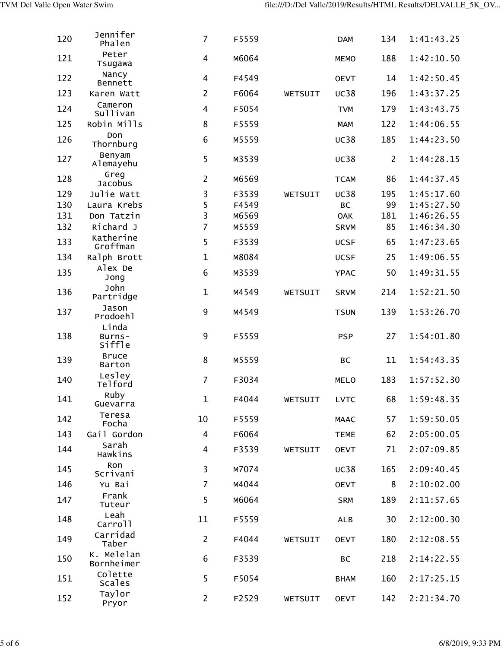| 120 | Jennifer<br>Phalen        | $\overline{7}$          | F5559 |         | <b>DAM</b>  | 134            | 1:41:43.25 |
|-----|---------------------------|-------------------------|-------|---------|-------------|----------------|------------|
| 121 | Peter<br>Tsugawa          | $\overline{\mathbf{4}}$ | M6064 |         | <b>MEMO</b> | 188            | 1:42:10.50 |
| 122 | Nancy<br>Bennett          | 4                       | F4549 |         | <b>OEVT</b> | 14             | 1:42:50.45 |
| 123 | Karen Watt                | $\overline{2}$          | F6064 | WETSUIT | <b>UC38</b> | 196            | 1:43:37.25 |
| 124 | Cameron<br>Sullivan       | 4                       | F5054 |         | <b>TVM</b>  | 179            | 1:43:43.75 |
| 125 | Robin Mills               | 8                       | F5559 |         | <b>MAM</b>  | 122            | 1:44:06.55 |
| 126 | Don<br>Thornburg          | 6                       | M5559 |         | <b>UC38</b> | 185            | 1:44:23.50 |
| 127 | Benyam<br>Alemayehu       | 5                       | M3539 |         | <b>UC38</b> | $\overline{2}$ | 1:44:28.15 |
| 128 | Greg<br><b>Jacobus</b>    | $\overline{2}$          | M6569 |         | <b>TCAM</b> | 86             | 1:44:37.45 |
| 129 | Julie Watt                | 3                       | F3539 | WETSUIT | <b>UC38</b> | 195            | 1:45:17.60 |
| 130 | Laura Krebs               | 5                       | F4549 |         | <b>BC</b>   | 99             | 1:45:27.50 |
| 131 | Don Tatzin                | 3                       | M6569 |         | <b>OAK</b>  | 181            | 1:46:26.55 |
| 132 | Richard J                 | $\overline{7}$          | M5559 |         | <b>SRVM</b> | 85             | 1:46:34.30 |
| 133 | Katherine<br>Groffman     | 5                       | F3539 |         | <b>UCSF</b> | 65             | 1:47:23.65 |
| 134 | Ralph Brott               | $\mathbf{1}$            | M8084 |         | <b>UCSF</b> | 25             | 1:49:06.55 |
| 135 | Alex De<br>Jong           | 6                       | M3539 |         | <b>YPAC</b> | 50             | 1:49:31.55 |
| 136 | John<br>Partridge         | $\mathbf{1}$            | M4549 | WETSUIT | <b>SRVM</b> | 214            | 1:52:21.50 |
| 137 | Jason<br>Prodoehl         | 9                       | M4549 |         | <b>TSUN</b> | 139            | 1:53:26.70 |
| 138 | Linda<br>Burns-<br>siffle | 9                       | F5559 |         | <b>PSP</b>  | 27             | 1:54:01.80 |
| 139 | <b>Bruce</b><br>Barton    | 8                       | M5559 |         | <b>BC</b>   | 11             | 1:54:43.35 |
| 140 | Lesley<br>Telford         | $\overline{7}$          | F3034 |         | <b>MELO</b> | 183            | 1:57:52.30 |
| 141 | Ruby<br>Guevarra          | $\mathbf{1}$            | F4044 | WETSUIT | <b>LVTC</b> | 68             | 1:59:48.35 |
| 142 | Teresa<br>Focha           | 10                      | F5559 |         | <b>MAAC</b> | 57             | 1:59:50.05 |
| 143 | Gail Gordon               | 4                       | F6064 |         | <b>TEME</b> | 62             | 2:05:00.05 |
| 144 | Sarah<br>Hawkins          | 4                       | F3539 | WETSUIT | <b>OEVT</b> | 71             | 2:07:09.85 |
| 145 | Ron<br>Scrivani           | 3                       | M7074 |         | <b>UC38</b> | 165            | 2:09:40.45 |
| 146 | Yu Bai                    | $\overline{7}$          | M4044 |         | <b>OEVT</b> | 8              | 2:10:02.00 |
| 147 | Frank<br>Tuteur           | 5                       | M6064 |         | <b>SRM</b>  | 189            | 2:11:57.65 |
| 148 | Leah<br>Carroll           | 11                      | F5559 |         | <b>ALB</b>  | 30             | 2:12:00.30 |
| 149 | Carridad<br>Taber         | $\overline{2}$          | F4044 | WETSUIT | <b>OEVT</b> | 180            | 2:12:08.55 |
| 150 | K. Melelan<br>Bornheimer  | 6                       | F3539 |         | <b>BC</b>   | 218            | 2:14:22.55 |
| 151 | Colette<br>Scales         | 5                       | F5054 |         | <b>BHAM</b> | 160            | 2:17:25.15 |
| 152 | Taylor<br>Pryor           | $\overline{2}$          | F2529 | WETSUIT | <b>OEVT</b> | 142            | 2:21:34.70 |